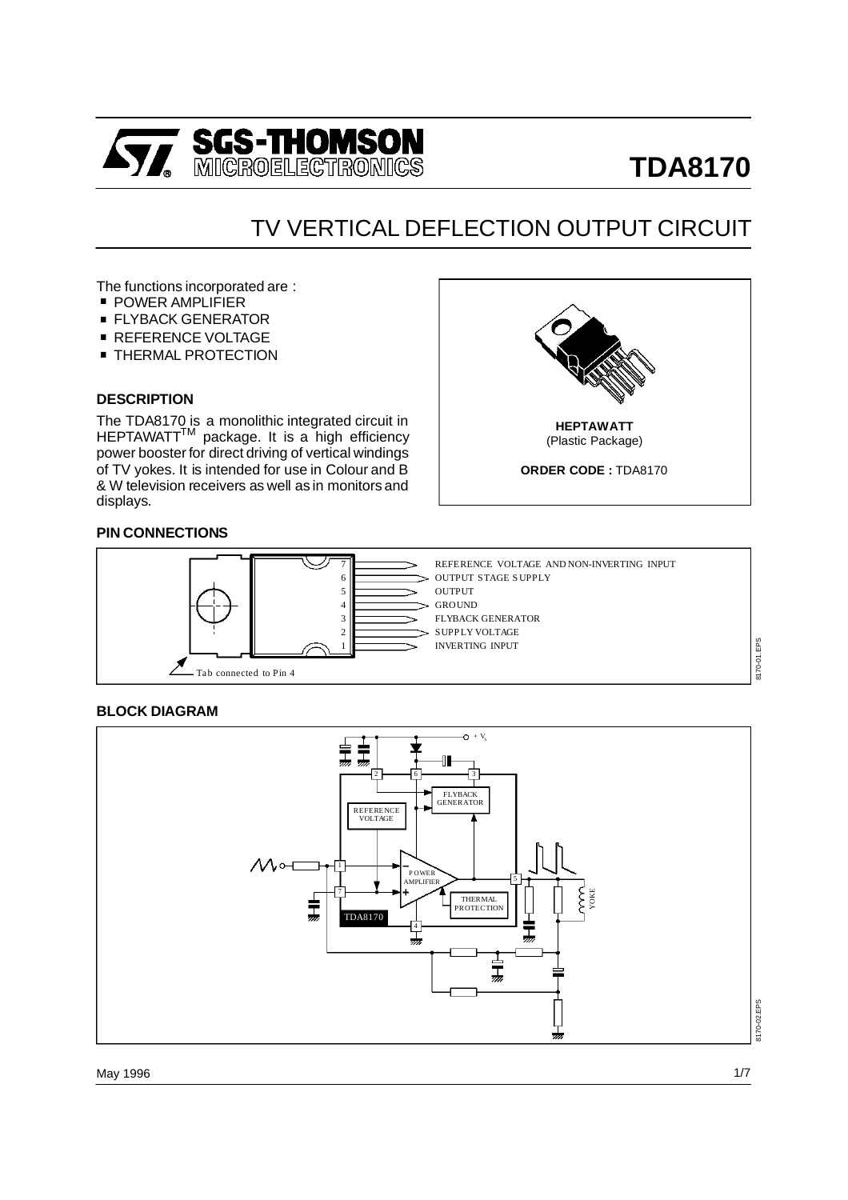

# **TDA8170**

## TV VERTICAL DEFLECTION OUTPUT CIRCUIT

The functions incorporated are :<br>■ POWER AMPLIFIER<br>■ FLYBACK GENERATOR

- POWER AMPLIFIER<br>■ FLYBACK GENERATOR
- POWER AMPLIFIER<br>■ FLYBACK GENERATOR<br>■ REFERENCE VOLTAGE
- 
- FLYBACK GENERATOR<br>■ REFERENCE VOLTAGE<br>■ THERMAL PROTECTION

#### **DESCRIPTION**

The TDA8170 is a monolithic integrated circuit in HEPTAWATT<sup>™</sup> package. It is a high efficiency power booster for direct driving of vertical windings of TV yokes. It is intended for use in Colour and B & W television receivers as well as in monitors and displays.



#### **PIN CONNECTIONS**



#### **BLOCK DIAGRAM**



8170-01.EPS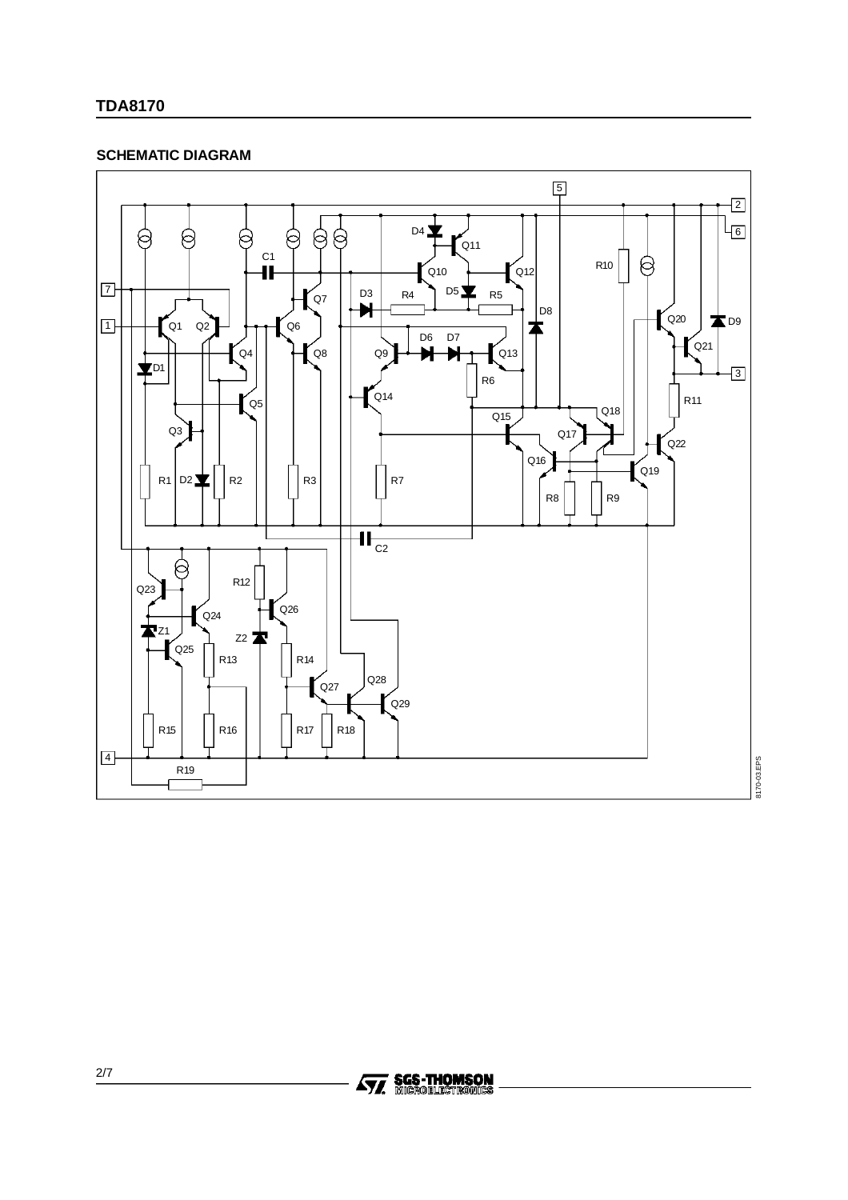#### **TDA8170**

#### **SCHEMATIC DIAGRAM**



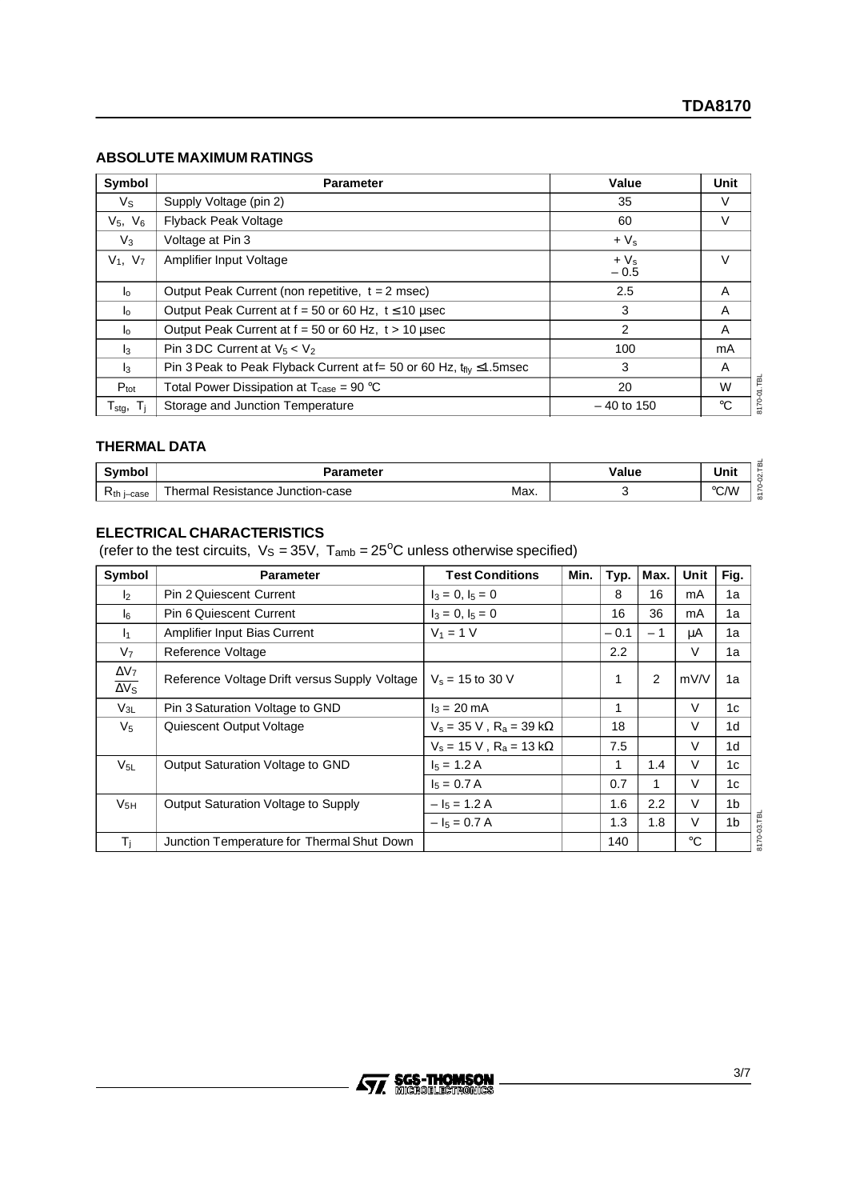#### **ABSOLUTE MAXIMUM RATINGS**

| Symbol                      | <b>Parameter</b>                                                                     | Value            | Unit        |
|-----------------------------|--------------------------------------------------------------------------------------|------------------|-------------|
| $V_{\rm S}$                 | Supply Voltage (pin 2)                                                               | 35               | V           |
| $V_5, V_6$                  | Flyback Peak Voltage                                                                 | 60               | V           |
| $V_3$                       | Voltage at Pin 3                                                                     | $+V_{s}$         |             |
| $V_1, V_7$                  | Amplifier Input Voltage                                                              | $+V_s$<br>$-0.5$ | $\vee$      |
| $\mathsf{I}_\Omega$         | Output Peak Current (non repetitive, $t = 2$ msec)                                   | 2.5              | A           |
| $\mathsf{I}^{\circ}$        | Output Peak Current at $f = 50$ or 60 Hz, $t \le 10$ usec                            | 3                | A           |
| $I_{\Omega}$                | Output Peak Current at $f = 50$ or 60 Hz, $t > 10$ used                              | 2                | A           |
| $\mathbf{a}$                | Pin 3 DC Current at $V_5 < V_2$                                                      | 100              | mA          |
| $\mathbf{I}_3$              | Pin 3 Peak to Peak Flyback Current at f= 50 or 60 Hz, $t_{\text{fly}} \leq 1.5$ msec | 3                | A           |
| $P_{\text{tot}}$            | Total Power Dissipation at $T_{\text{case}} = 90 \text{ °C}$                         | 20               | W           |
| ${\mathsf T}_{\text{stg}},$ | Storage and Junction Temperature                                                     | $-40$ to 150     | $^{\circ}C$ |

#### **THERMAL DATA**

| $\sim$ vmbol $\sim$ | Parameter                                                          | Value | Unit               |
|---------------------|--------------------------------------------------------------------|-------|--------------------|
| $R_{th}$<br>i-case  | Thermal <sub>1</sub><br>Max.<br>Resistance Junction-case<br>______ |       | $\circ$ C.AA<br>اب |

#### **ELECTRICAL CHARACTERISTICS**

(refer to the test circuits,  $V_S = 35V$ ,  $T_{amb} = 25^{\circ}C$  unless otherwise specified)

| Symbol                                  | <b>Parameter</b>                              | <b>Test Conditions</b>              | Min. | Typ.          | Max. | Unit   | Fig.           |
|-----------------------------------------|-----------------------------------------------|-------------------------------------|------|---------------|------|--------|----------------|
| $\mathsf{I}_2$                          | <b>Pin 2 Quiescent Current</b>                | $I_3 = 0, I_5 = 0$                  |      | 8             | 16   | mA     | 1a             |
| l6                                      | Pin 6 Quiescent Current                       | $I_3 = 0, I_5 = 0$                  |      | 16            | 36   | mA     | 1a             |
| ł1.                                     | Amplifier Input Bias Current                  | $V_1 = 1 V$                         |      | $-0.1$        | $-1$ | μA     | 1a             |
| V <sub>7</sub>                          | Reference Voltage                             |                                     |      | $2.2^{\circ}$ |      | $\vee$ | 1a             |
| $\Delta V_7$<br>$\overline{\Delta V_S}$ | Reference Voltage Drift versus Supply Voltage | $V_s = 15$ to 30 V                  |      | 1             | 2    | mV/V   | 1a             |
| $V_{3L}$                                | Pin 3 Saturation Voltage to GND               | $I_3 = 20 \text{ mA}$               |      | 1             |      | V      | 1c             |
| V <sub>5</sub>                          | Quiescent Output Voltage                      | $V_s = 35 V$ , $R_a = 39 k\Omega$   |      | 18            |      | V      | 1 <sub>d</sub> |
|                                         |                                               | $V_s = 15$ V, $R_a = 13$ k $\Omega$ |      | 7.5           |      | V      | 1 <sub>d</sub> |
| $V_{5L}$                                | Output Saturation Voltage to GND              | $I_5 = 1.2 A$                       |      | 1             | 1.4  | V      | 1c             |
|                                         |                                               | $I_5 = 0.7 A$                       |      | 0.7           |      | V      | 1c             |
| $V_{5H}$                                | Output Saturation Voltage to Supply           | $- I_5 = 1.2 A$                     |      | 1.6           | 2.2  | V      | 1b             |
|                                         |                                               | $ I_5 = 0.7 A$                      |      | 1.3           | 1.8  | V      | 1 <sub>b</sub> |
| Τi                                      | Junction Temperature for Thermal Shut Down    |                                     |      | 140           |      | °C     |                |

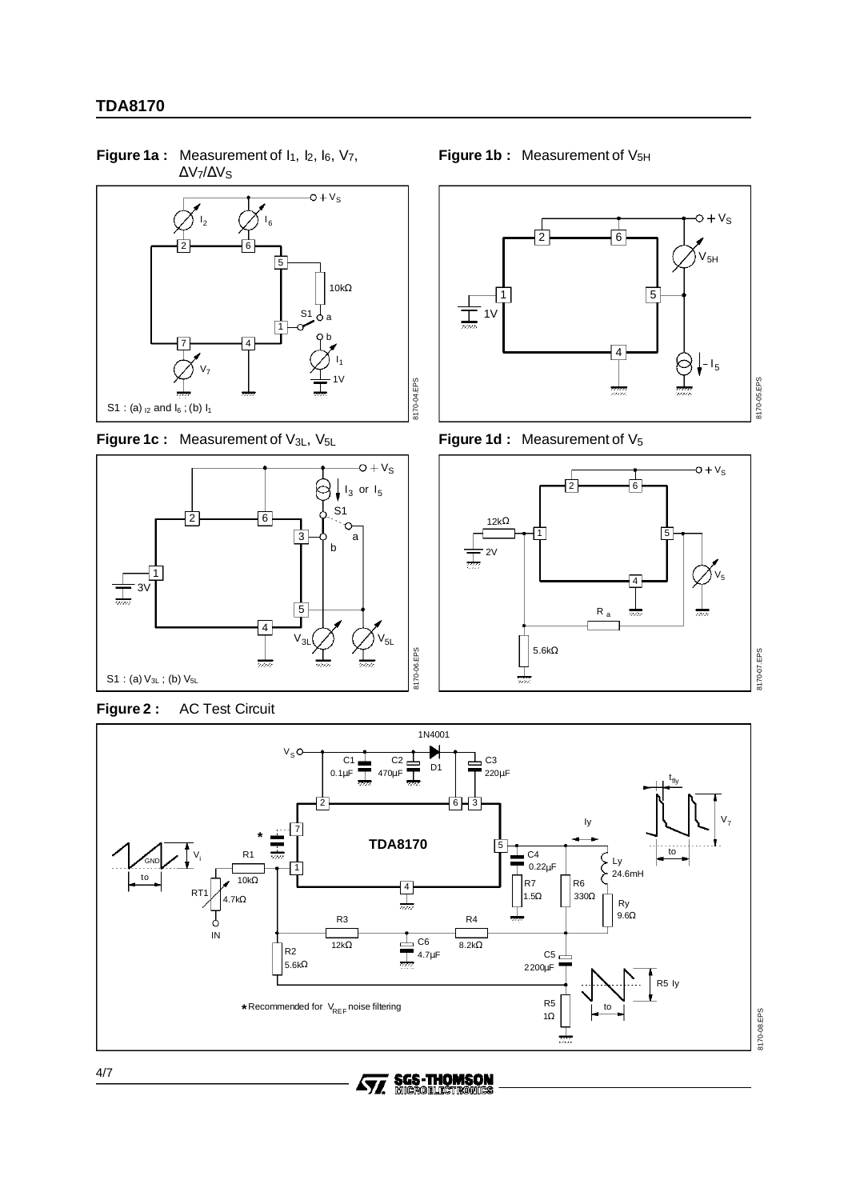∆V7/∆VS  $-\mathsf{O}+\mathsf{V}_\mathsf{S}$  $I_2$   $\left(\frac{\ }{\phantom{0}}\right)I_6$ 2 6 5 10kΩ  $S<sub>1</sub>$ 1 b 7 4  $I_1$  $V_7$ 1V 8170-04.EPS S1 : (a)  $_{12}$  and  $I_6$  ; (b)  $I_1$ 

Figure 1a : Measurement of  $I_1$ ,  $I_2$ ,  $I_6$ ,  $V_7$ ,









**Figure 1d : Measurement of V<sub>5</sub>** 







8170-04.EPS



4/7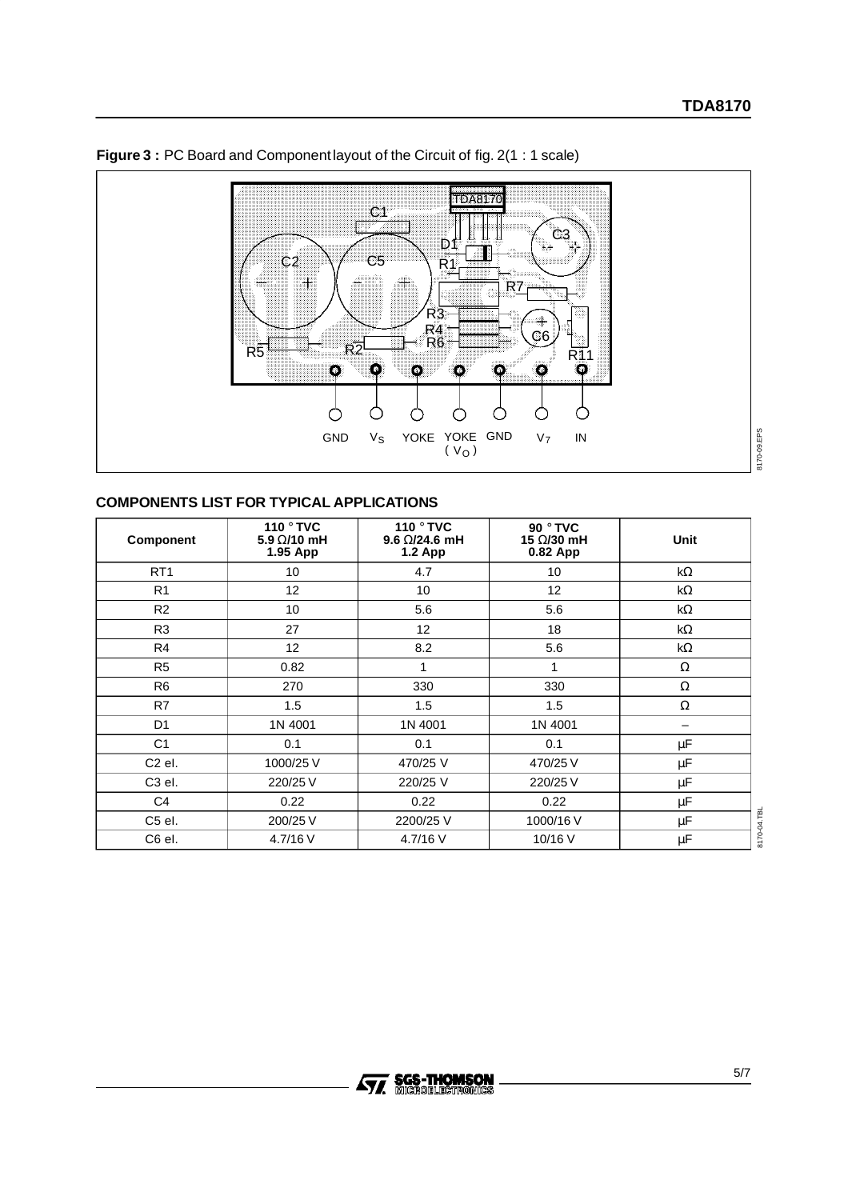

### **Figure 3** : PC Board and Component layout of the Circuit of fig. 2(1 : 1 scale)



#### **COMPONENTS LIST FOR TYPICAL APPLICATIONS**

| Component          | 110 ° TVC<br>5.9 $\Omega$ /10 mH<br>1.95 App | 110 ° TVC<br>$9.6 \Omega/24.6$ mH<br><b>1.2 App</b> | 90 ° TVC<br>15 Ω/30 mH<br>0.82 App | Unit      |
|--------------------|----------------------------------------------|-----------------------------------------------------|------------------------------------|-----------|
| RT <sub>1</sub>    | 10                                           | 4.7                                                 | 10                                 | kΩ        |
| R <sub>1</sub>     | 12                                           | 10                                                  | 12                                 | $k\Omega$ |
| R <sub>2</sub>     | 10                                           | 5.6                                                 | 5.6                                | kΩ        |
| R <sub>3</sub>     | 27                                           | 12                                                  | 18                                 | $k\Omega$ |
| R <sub>4</sub>     | 12 <sup>°</sup>                              | 8.2                                                 | 5.6                                | kΩ        |
| R <sub>5</sub>     | 0.82                                         | 1                                                   | 1                                  | Ω         |
| R <sub>6</sub>     | 270                                          | 330                                                 | 330                                | Ω         |
| R7                 | 1.5                                          | 1.5                                                 | 1.5                                | Ω         |
| D <sub>1</sub>     | 1N 4001                                      | 1N 4001                                             | 1N 4001                            | -         |
| C <sub>1</sub>     | 0.1                                          | 0.1                                                 | 0.1                                | μF        |
| C <sub>2</sub> el. | 1000/25 V                                    | 470/25 V                                            | 470/25 V                           | $\mu$ F   |
| C <sub>3</sub> el. | 220/25 V                                     | 220/25 V                                            | 220/25 V                           | μF        |
| C <sub>4</sub>     | 0.22                                         | 0.22                                                | 0.22                               | $\mu$ F   |
| C5 el.             | 200/25 V                                     | 2200/25 V                                           | 1000/16 V                          | μF        |
| C6 el.             | 4.7/16 V                                     | 4.7/16 V                                            | 10/16 V                            | μF        |

8170-04.TBL 8170-04.TBL

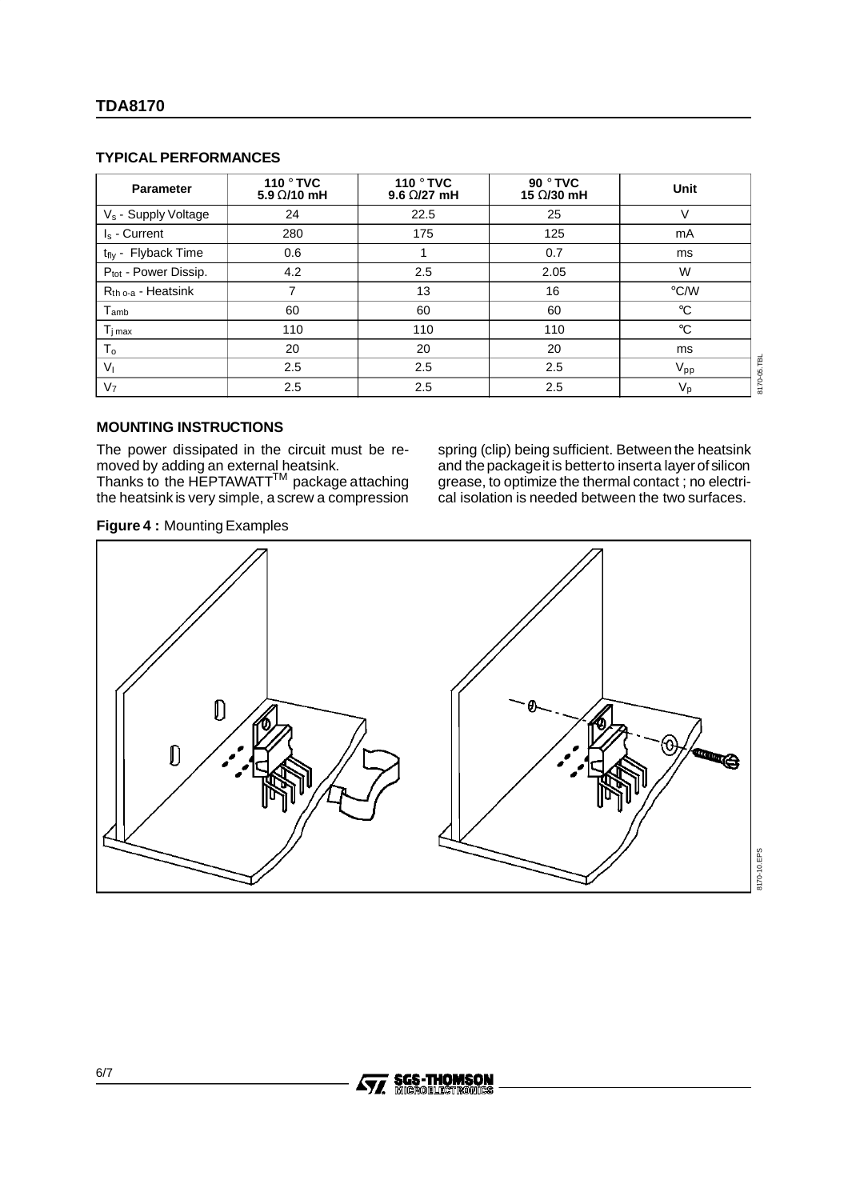#### **TDA8170**

#### **TYPICAL PERFORMANCES**

| <b>Parameter</b>                 | 110 ° TVC<br>5.9 $\Omega$ /10 mH | 110 ° TVC<br>9.6 $\Omega$ /27 mH | 90 ° TVC<br>15 Ω/30 mH | Unit                        |
|----------------------------------|----------------------------------|----------------------------------|------------------------|-----------------------------|
| V <sub>s</sub> - Supply Voltage  | 24                               | 22.5                             | 25                     | V                           |
| $I_s$ - Current                  | 280                              | 175                              | 125                    | mA                          |
| t <sub>fly</sub> - Flyback Time  | 0.6                              |                                  | 0.7                    | ms                          |
| P <sub>tot</sub> - Power Dissip. | 4.2                              | 2.5                              | 2.05                   | W                           |
| $R_{th o-a}$ - Heatsink          | 7                                | 13                               | 16                     | $\degree$ C/W               |
| T <sub>amb</sub>                 | 60                               | 60                               | 60                     | $^{\circ}C$                 |
| $T_{j\,max}$                     | 110                              | 110                              | 110                    | $^{\circ}C$                 |
| $T_{\rm o}$                      | 20                               | 20                               | 20                     | ms                          |
| V <sub>1</sub>                   | 2.5                              | 2.5                              | 2.5                    | 05.TBL<br>$V_{\mathsf{pp}}$ |
| V <sub>7</sub>                   | 2.5                              | 2.5                              | 2.5                    | 8170<br>$V_{p}$             |

#### **MOUNTING INSTRUCTIONS**

The power dissipated in the circuit must be removed by adding an external heatsink.

Thanks to the HEPTAWATT $^{\mathsf{TM}}$  package attaching the heatsink is very simple, a screw a compression

spring (clip) being sufficient. Between the heatsink and the package it is better to inserta layer of silicon grease, to optimize the thermal contact ; no electrical isolation is needed between the two surfaces.





**Ay, SGS-THOMSON** 

6/7